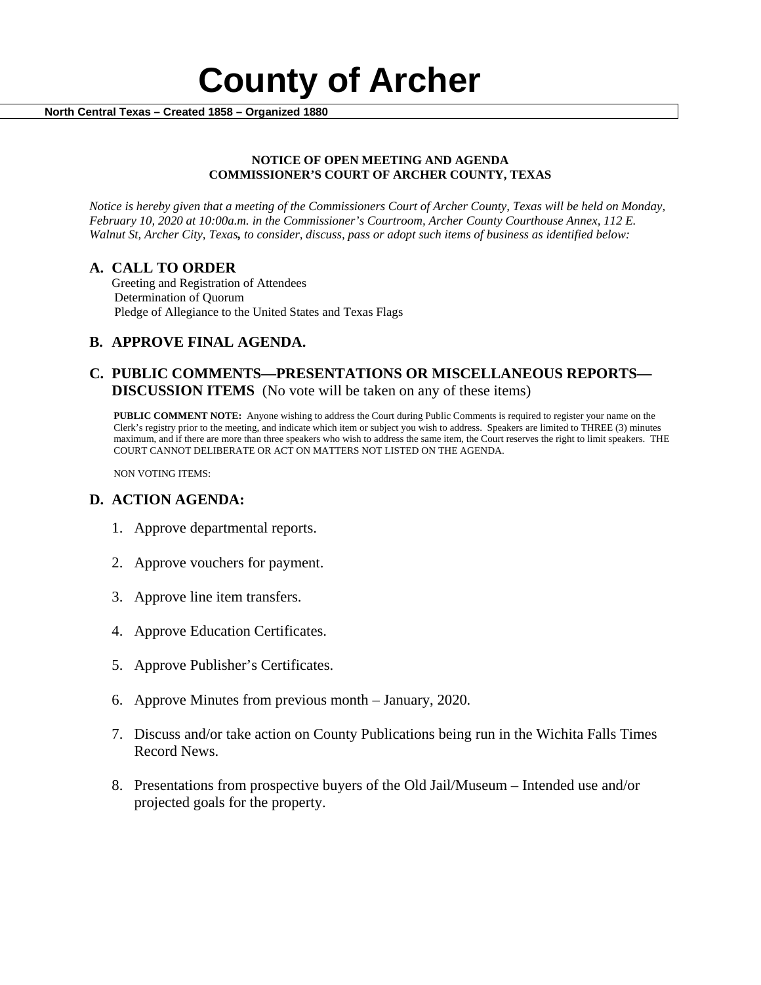

### **NOTICE OF OPEN MEETING AND AGENDA COMMISSIONER'S COURT OF ARCHER COUNTY, TEXAS**

*Notice is hereby given that a meeting of the Commissioners Court of Archer County, Texas will be held on Monday, February 10, 2020 at 10:00a.m. in the Commissioner's Courtroom, Archer County Courthouse Annex, 112 E. Walnut St, Archer City, Texas, to consider, discuss, pass or adopt such items of business as identified below:*

**A. CALL TO ORDER** Greeting and Registration of Attendees Determination of Quorum Pledge of Allegiance to the United States and Texas Flags

# **B. APPROVE FINAL AGENDA.**

# **C. PUBLIC COMMENTS—PRESENTATIONS OR MISCELLANEOUS REPORTS— DISCUSSION ITEMS** (No vote will be taken on any of these items)

**PUBLIC COMMENT NOTE:** Anyone wishing to address the Court during Public Comments is required to register your name on the Clerk's registry prior to the meeting, and indicate which item or subject you wish to address. Speakers are limited to THREE (3) minutes maximum, and if there are more than three speakers who wish to address the same item, the Court reserves the right to limit speakers. THE COURT CANNOT DELIBERATE OR ACT ON MATTERS NOT LISTED ON THE AGENDA.

NON VOTING ITEMS:

# **D. ACTION AGENDA:**

- 1. Approve departmental reports.
- 2. Approve vouchers for payment.
- 3. Approve line item transfers.
- 4. Approve Education Certificates.
- 5. Approve Publisher's Certificates.
- 6. Approve Minutes from previous month January, 2020*.*
- 7. Discuss and/or take action on County Publications being run in the Wichita Falls Times Record News.
- 8. Presentations from prospective buyers of the Old Jail/Museum Intended use and/or projected goals for the property.